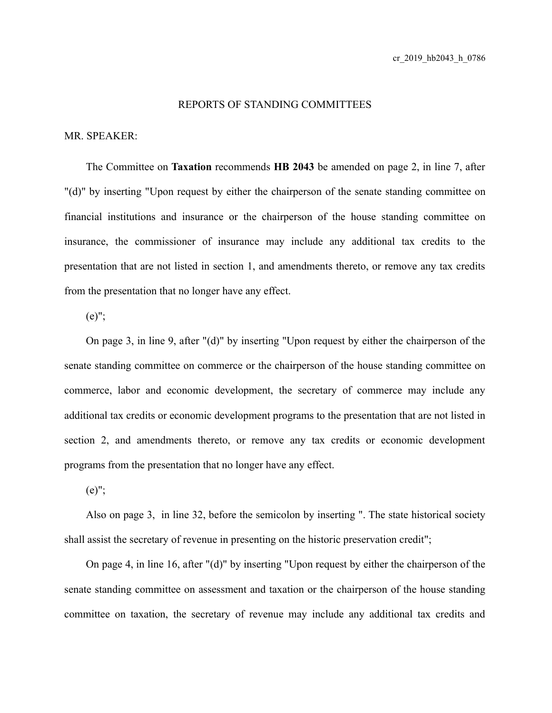## REPORTS OF STANDING COMMITTEES

## MR. SPEAKER:

The Committee on **Taxation** recommends **HB 2043** be amended on page 2, in line 7, after "(d)" by inserting "Upon request by either the chairperson of the senate standing committee on financial institutions and insurance or the chairperson of the house standing committee on insurance, the commissioner of insurance may include any additional tax credits to the presentation that are not listed in section 1, and amendments thereto, or remove any tax credits from the presentation that no longer have any effect.

(e)";

On page 3, in line 9, after "(d)" by inserting "Upon request by either the chairperson of the senate standing committee on commerce or the chairperson of the house standing committee on commerce, labor and economic development, the secretary of commerce may include any additional tax credits or economic development programs to the presentation that are not listed in section 2, and amendments thereto, or remove any tax credits or economic development programs from the presentation that no longer have any effect.

(e)";

Also on page 3, in line 32, before the semicolon by inserting ". The state historical society shall assist the secretary of revenue in presenting on the historic preservation credit";

On page 4, in line 16, after "(d)" by inserting "Upon request by either the chairperson of the senate standing committee on assessment and taxation or the chairperson of the house standing committee on taxation, the secretary of revenue may include any additional tax credits and